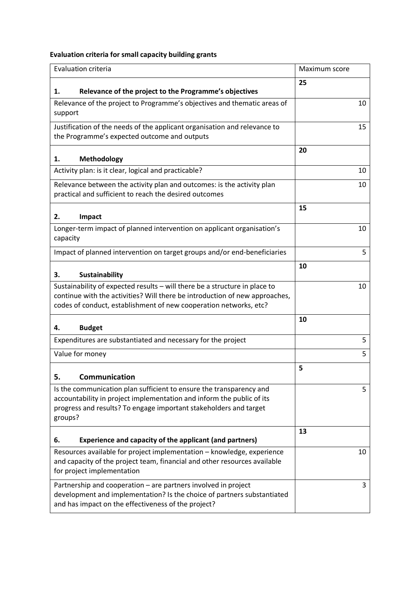## **Evaluation criteria for small capacity building grants**

| Evaluation criteria                                                                                                                                                                                                            | Maximum score |
|--------------------------------------------------------------------------------------------------------------------------------------------------------------------------------------------------------------------------------|---------------|
| Relevance of the project to the Programme's objectives<br>1.                                                                                                                                                                   | 25            |
| Relevance of the project to Programme's objectives and thematic areas of<br>support                                                                                                                                            | 10            |
| Justification of the needs of the applicant organisation and relevance to<br>the Programme's expected outcome and outputs                                                                                                      | 15            |
| Methodology<br>1.                                                                                                                                                                                                              | 20            |
| Activity plan: is it clear, logical and practicable?                                                                                                                                                                           | 10            |
| Relevance between the activity plan and outcomes: is the activity plan<br>practical and sufficient to reach the desired outcomes                                                                                               | 10            |
| Impact<br>2.                                                                                                                                                                                                                   | 15            |
| Longer-term impact of planned intervention on applicant organisation's<br>capacity                                                                                                                                             | 10            |
| Impact of planned intervention on target groups and/or end-beneficiaries                                                                                                                                                       | 5             |
| <b>Sustainability</b><br>3.                                                                                                                                                                                                    | 10            |
| Sustainability of expected results - will there be a structure in place to<br>continue with the activities? Will there be introduction of new approaches,<br>codes of conduct, establishment of new cooperation networks, etc? | 10            |
| <b>Budget</b><br>4.                                                                                                                                                                                                            | 10            |
| Expenditures are substantiated and necessary for the project                                                                                                                                                                   | 5             |
| Value for money                                                                                                                                                                                                                | 5             |
| 5<br>Communication                                                                                                                                                                                                             | 5             |
| Is the communication plan sufficient to ensure the transparency and<br>accountability in project implementation and inform the public of its<br>progress and results? To engage important stakeholders and target<br>groups?   | 5             |
| Experience and capacity of the applicant (and partners)<br>6.                                                                                                                                                                  | 13            |
| Resources available for project implementation - knowledge, experience<br>and capacity of the project team, financial and other resources available<br>for project implementation                                              | 10            |
| Partnership and cooperation - are partners involved in project<br>development and implementation? Is the choice of partners substantiated<br>and has impact on the effectiveness of the project?                               | 3             |